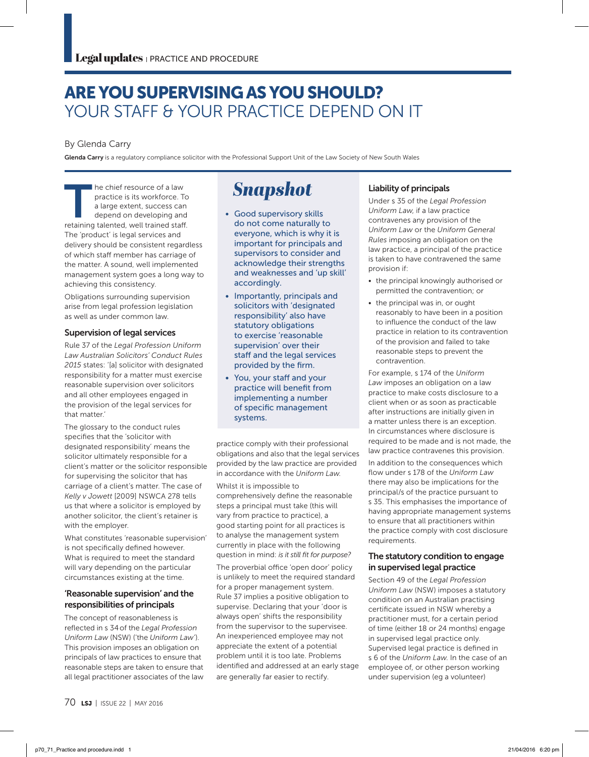## ARE YOU SUPERVISING AS YOU SHOULD? YOUR STAFF & YOUR PRACTICE DEPEND ON IT

## By Glenda Carry

Glenda Carry is a regulatory compliance solicitor with the Professional Support Unit of the Law Society of New South Wales

The chief resource of a law<br>practice is its workforce. The large extent, success can<br>depend on developing and<br>retaining talented well trained staff practice is its workforce. To a large extent, success can depend on developing and retaining talented, well trained staff. The 'product' is legal services and delivery should be consistent regardless of which staff member has carriage of the matter. A sound, well implemented management system goes a long way to achieving this consistency.

Obligations surrounding supervision arise from legal profession legislation as well as under common law.

#### Supervision of legal services

Rule 37 of the *Legal Profession Uniform Law Australian Solicitors' Conduct Rules 2015* states: '[a] solicitor with designated responsibility for a matter must exercise reasonable supervision over solicitors and all other employees engaged in the provision of the legal services for that matter'

The glossary to the conduct rules specifies that the 'solicitor with designated responsibility' means the solicitor ultimately responsible for a client's matter or the solicitor responsible for supervising the solicitor that has carriage of a client's matter. The case of *Kelly v Jowett* [2009] NSWCA 278 tells us that where a solicitor is employed by another solicitor, the client's retainer is with the employer.

What constitutes 'reasonable supervision' is not specifically defined however. What is required to meet the standard will vary depending on the particular circumstances existing at the time.

## 'Reasonable supervision' and the responsibilities of principals

The concept of reasonableness is reflected in s 34of the *Legal Profession Uniform Law* (NSW) ('the *Uniform Law'*). This provision imposes an obligation on principals of law practices to ensure that reasonable steps are taken to ensure that all legal practitioner associates of the law

# **Snapshot**

- Good supervisory skills do not come naturally to everyone, which is why it is important for principals and supervisors to consider and acknowledge their strengths and weaknesses and 'up skill' accordingly.
- Importantly, principals and solicitors with 'designated responsibility' also have statutory obligations to exercise 'reasonable supervision' over their staff and the legal services provided by the firm.
- You, your staff and your practice will benefit from implementing a number of specific management systems.

practice comply with their professional obligations and also that the legal services provided by the law practice are provided in accordance with the *Uniform Law*.

Whilst it is impossible to comprehensively define the reasonable steps a principal must take (this will vary from practice to practice), a good starting point for all practices is to analyse the management system currently in place with the following question in mind: *is it still fit for purpose?* 

The proverbial office 'open door' policy is unlikely to meet the required standard for a proper management system. Rule 37 implies a positive obligation to supervise. Declaring that your 'door is always open' shifts the responsibility from the supervisor to the supervisee. An inexperienced employee may not appreciate the extent of a potential problem until it is too late. Problems identified and addressed at an early stage are generally far easier to rectify.

## Liability of principals

Under s 35 of the *Legal Profession Uniform Law*, if a law practice contravenes any provision of the *Uniform Law* or the *Uniform General Rules* imposing an obligation on the law practice, a principal of the practice is taken to have contravened the same provision if:

- the principal knowingly authorised or permitted the contravention; or
- the principal was in, or ought reasonably to have been in a position to influence the conduct of the law practice in relation to its contravention of the provision and failed to take reasonable steps to prevent the contravention.

For example, s 174 of the *Uniform Law* imposes an obligation on a law practice to make costs disclosure to a client when or as soon as practicable after instructions are initially given in a matter unless there is an exception. In circumstances where disclosure is required to be made and is not made, the law practice contravenes this provision.

In addition to the consequences which flow under s 178 of the *Uniform Law* there may also be implications for the principal/s of the practice pursuant to s 35. This emphasises the importance of having appropriate management systems to ensure that all practitioners within the practice comply with cost disclosure requirements.

### The statutory condition to engage in supervised legal practice

Section 49 of the *Legal Profession Uniform Law* (NSW) imposes a statutory condition on an Australian practising certificate issued in NSW whereby a practitioner must, for a certain period of time (either 18 or 24 months) engage in supervised legal practice only. Supervised legal practice is defined in s 6 of the *Uniform Law*. In the case of an employee of, or other person working under supervision (eg a volunteer)